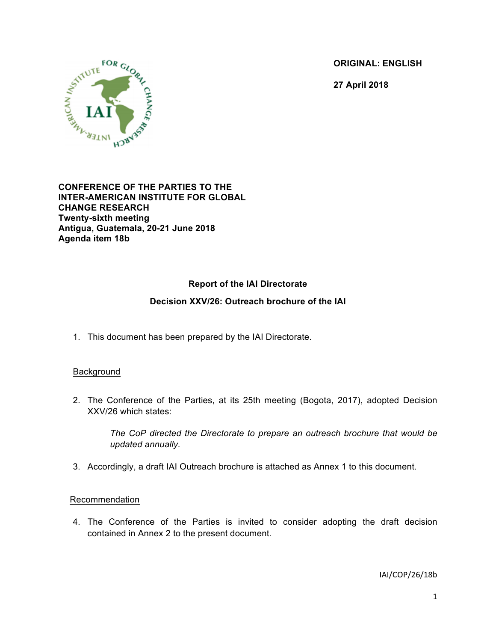**ORIGINAL: ENGLISH**

**27 April 2018**



**CONFERENCE OF THE PARTIES TO THE INTER-AMERICAN INSTITUTE FOR GLOBAL CHANGE RESEARCH Twenty-sixth meeting Antigua, Guatemala, 20-21 June 2018 Agenda item 18b**

# **Report of the IAI Directorate**

## **Decision XXV/26: Outreach brochure of the IAI**

1. This document has been prepared by the IAI Directorate.

## **Background**

2. The Conference of the Parties, at its 25th meeting (Bogota, 2017), adopted Decision XXV/26 which states:

*The CoP directed the Directorate to prepare an outreach brochure that would be updated annually.*

3. Accordingly, a draft IAI Outreach brochure is attached as Annex 1 to this document.

## Recommendation

4. The Conference of the Parties is invited to consider adopting the draft decision contained in Annex 2 to the present document.

IAI/COP/26/18b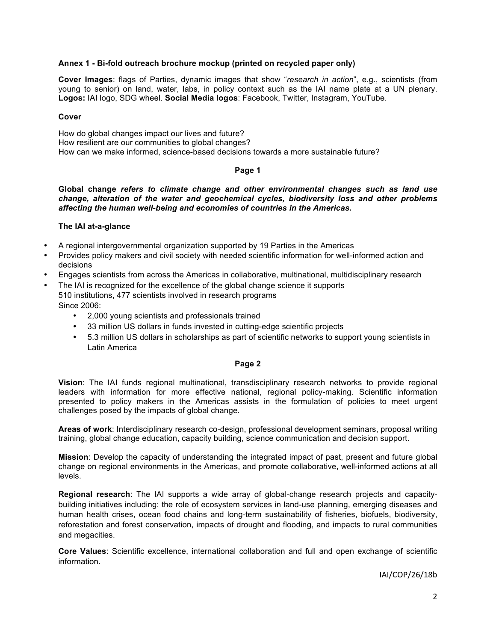#### **Annex 1 - Bi-fold outreach brochure mockup (printed on recycled paper only)**

**Cover Images**: flags of Parties, dynamic images that show "*research in action*", e.g., scientists (from young to senior) on land, water, labs, in policy context such as the IAI name plate at a UN plenary. **Logos:** IAI logo, SDG wheel. **Social Media logos**: Facebook, Twitter, Instagram, YouTube.

#### **Cover**

How do global changes impact our lives and future? How resilient are our communities to global changes? How can we make informed, science-based decisions towards a more sustainable future?

#### **Page 1**

**Global change** *refers to climate change and other environmental changes such as land use change, alteration of the water and geochemical cycles, biodiversity loss and other problems affecting the human well-being and economies of countries in the Americas.*

#### **The IAI at-a-glance**

- A regional intergovernmental organization supported by 19 Parties in the Americas
- Provides policy makers and civil society with needed scientific information for well-informed action and decisions
- Engages scientists from across the Americas in collaborative, multinational, multidisciplinary research
- The IAI is recognized for the excellence of the global change science it supports 510 institutions, 477 scientists involved in research programs Since 2006:
	- 2,000 young scientists and professionals trained
	- 33 million US dollars in funds invested in cutting-edge scientific projects
	- 5.3 million US dollars in scholarships as part of scientific networks to support young scientists in Latin America

#### **Page 2**

**Vision**: The IAI funds regional multinational, transdisciplinary research networks to provide regional leaders with information for more effective national, regional policy-making. Scientific information presented to policy makers in the Americas assists in the formulation of policies to meet urgent challenges posed by the impacts of global change.

**Areas of work**: Interdisciplinary research co-design, professional development seminars, proposal writing training, global change education, capacity building, science communication and decision support.

**Mission**: Develop the capacity of understanding the integrated impact of past, present and future global change on regional environments in the Americas, and promote collaborative, well-informed actions at all levels.

**Regional research**: The IAI supports a wide array of global-change research projects and capacitybuilding initiatives including: the role of ecosystem services in land-use planning, emerging diseases and human health crises, ocean food chains and long-term sustainability of fisheries, biofuels, biodiversity, reforestation and forest conservation, impacts of drought and flooding, and impacts to rural communities and megacities.

**Core Values**: Scientific excellence, international collaboration and full and open exchange of scientific information.

IAI/COP/26/18b